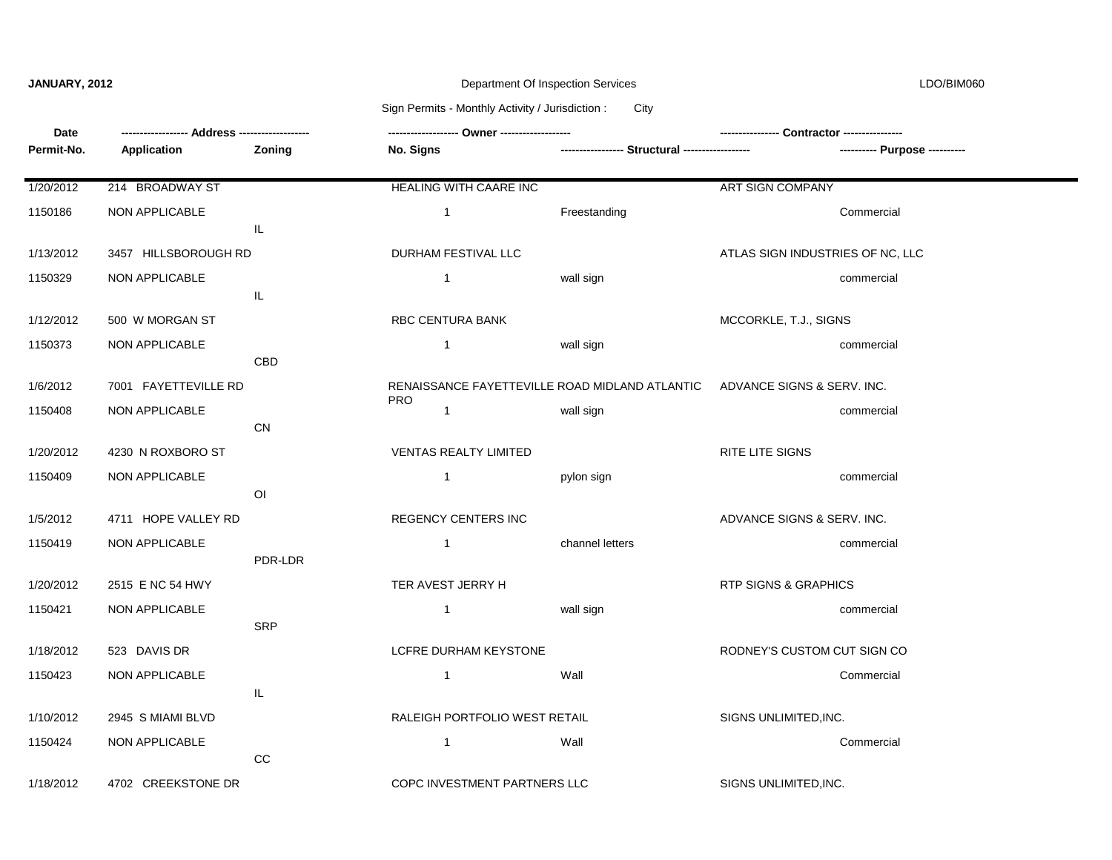### **JANUARY, 2012** Department Of Inspection Services LDO/BIM060

## Sign Permits - Monthly Activity / Jurisdiction : City

| Date       |                       |                                   |                                                |                                                 |                                  |  |
|------------|-----------------------|-----------------------------------|------------------------------------------------|-------------------------------------------------|----------------------------------|--|
| Permit-No. | Application           | Zoning                            | No. Signs                                      | ----------------- Structural ------------------ | ---------- Purpose ----------    |  |
| 1/20/2012  | 214 BROADWAY ST       |                                   | <b>HEALING WITH CAARE INC</b>                  |                                                 | <b>ART SIGN COMPANY</b>          |  |
| 1150186    | <b>NON APPLICABLE</b> | IL                                | $\mathbf{1}$                                   | Freestanding                                    | Commercial                       |  |
| 1/13/2012  | 3457 HILLSBOROUGH RD  |                                   | DURHAM FESTIVAL LLC                            |                                                 | ATLAS SIGN INDUSTRIES OF NC, LLC |  |
| 1150329    | NON APPLICABLE        | IL.                               | $\mathbf{1}$                                   | wall sign                                       | commercial                       |  |
| 1/12/2012  | 500 W MORGAN ST       |                                   | <b>RBC CENTURA BANK</b>                        |                                                 | MCCORKLE, T.J., SIGNS            |  |
| 1150373    | <b>NON APPLICABLE</b> | CBD                               | $\mathbf{1}$                                   | wall sign                                       | commercial                       |  |
| 1/6/2012   | 7001 FAYETTEVILLE RD  |                                   | RENAISSANCE FAYETTEVILLE ROAD MIDLAND ATLANTIC |                                                 | ADVANCE SIGNS & SERV. INC.       |  |
| 1150408    | NON APPLICABLE        | CN                                | <b>PRO</b><br>$\mathbf{1}$                     | wall sign                                       | commercial                       |  |
| 1/20/2012  | 4230 N ROXBORO ST     |                                   | <b>VENTAS REALTY LIMITED</b>                   |                                                 | RITE LITE SIGNS                  |  |
| 1150409    | NON APPLICABLE        | O <sub>l</sub>                    | $\mathbf{1}$                                   | pylon sign                                      | commercial                       |  |
| 1/5/2012   | 4711 HOPE VALLEY RD   |                                   | <b>REGENCY CENTERS INC</b>                     |                                                 | ADVANCE SIGNS & SERV. INC.       |  |
| 1150419    | <b>NON APPLICABLE</b> | PDR-LDR                           | $\mathbf{1}$                                   | channel letters                                 | commercial                       |  |
| 1/20/2012  | 2515 E NC 54 HWY      |                                   | TER AVEST JERRY H                              |                                                 | RTP SIGNS & GRAPHICS             |  |
| 1150421    | NON APPLICABLE        | <b>SRP</b>                        | $\overline{1}$                                 | wall sign                                       | commercial                       |  |
| 1/18/2012  | 523 DAVIS DR          |                                   | LCFRE DURHAM KEYSTONE                          |                                                 | RODNEY'S CUSTOM CUT SIGN CO      |  |
| 1150423    | NON APPLICABLE        | $\ensuremath{\mathsf{IL}}\xspace$ | $\mathbf{1}$                                   | Wall                                            | Commercial                       |  |
| 1/10/2012  | 2945 S MIAMI BLVD     |                                   | RALEIGH PORTFOLIO WEST RETAIL                  |                                                 | SIGNS UNLIMITED, INC.            |  |
| 1150424    | <b>NON APPLICABLE</b> | CC                                | $\mathbf{1}$                                   | Wall                                            | Commercial                       |  |
| 1/18/2012  | 4702 CREEKSTONE DR    |                                   | COPC INVESTMENT PARTNERS LLC                   |                                                 | SIGNS UNLIMITED, INC.            |  |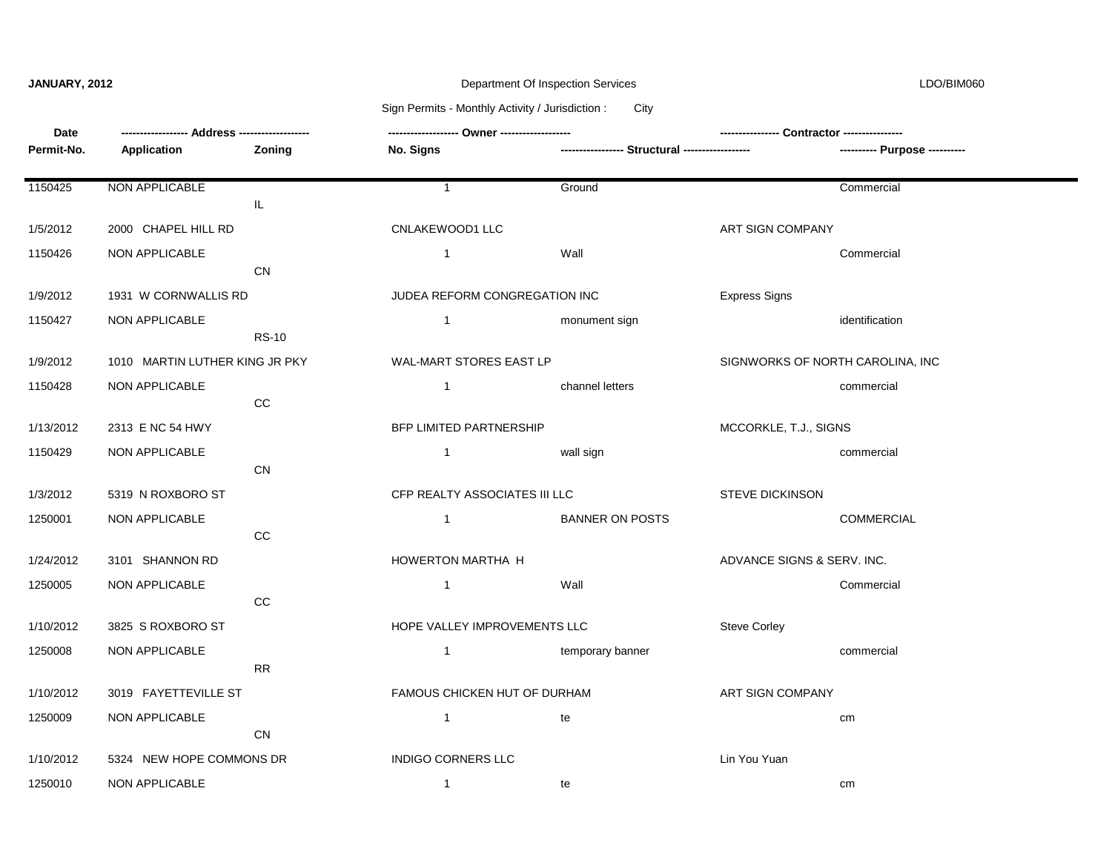### **JANUARY, 2012** Department Of Inspection Services LDO/BIM060

# Sign Permits - Monthly Activity / Jurisdiction : City

| Date       |                                |              | ------------------ Owner ------------------- |                                                 |                                  |                               |
|------------|--------------------------------|--------------|----------------------------------------------|-------------------------------------------------|----------------------------------|-------------------------------|
| Permit-No. | Application                    | Zoning       | No. Signs                                    | ----------------- Structural ------------------ |                                  | ---------- Purpose ---------- |
|            |                                |              |                                              |                                                 |                                  |                               |
| 1150425    | NON APPLICABLE                 |              | $\overline{1}$                               | Ground                                          |                                  | Commercial                    |
|            |                                | IL           |                                              |                                                 |                                  |                               |
| 1/5/2012   | 2000 CHAPEL HILL RD            |              | CNLAKEWOOD1 LLC                              |                                                 | ART SIGN COMPANY                 |                               |
| 1150426    | NON APPLICABLE                 |              | $\overline{1}$                               | Wall                                            |                                  | Commercial                    |
|            |                                | <b>CN</b>    |                                              |                                                 |                                  |                               |
| 1/9/2012   | 1931 W CORNWALLIS RD           |              | JUDEA REFORM CONGREGATION INC                |                                                 | <b>Express Signs</b>             |                               |
| 1150427    | NON APPLICABLE                 |              | $\mathbf{1}$                                 | monument sign                                   |                                  | identification                |
|            |                                | <b>RS-10</b> |                                              |                                                 |                                  |                               |
| 1/9/2012   | 1010 MARTIN LUTHER KING JR PKY |              | WAL-MART STORES EAST LP                      |                                                 | SIGNWORKS OF NORTH CAROLINA, INC |                               |
| 1150428    | NON APPLICABLE                 |              | $\mathbf{1}$                                 | channel letters                                 |                                  | commercial                    |
|            |                                | CC           |                                              |                                                 |                                  |                               |
| 1/13/2012  | 2313 E NC 54 HWY               |              | BFP LIMITED PARTNERSHIP                      |                                                 | MCCORKLE, T.J., SIGNS            |                               |
| 1150429    | <b>NON APPLICABLE</b>          |              | $\overline{1}$                               | wall sign                                       |                                  | commercial                    |
|            |                                | <b>CN</b>    |                                              |                                                 |                                  |                               |
| 1/3/2012   | 5319 N ROXBORO ST              |              | CFP REALTY ASSOCIATES III LLC                |                                                 | <b>STEVE DICKINSON</b>           |                               |
| 1250001    | NON APPLICABLE                 |              | $\mathbf{1}$                                 | <b>BANNER ON POSTS</b>                          |                                  | <b>COMMERCIAL</b>             |
|            |                                | CC           |                                              |                                                 |                                  |                               |
| 1/24/2012  | 3101 SHANNON RD                |              | HOWERTON MARTHA H                            |                                                 | ADVANCE SIGNS & SERV. INC.       |                               |
| 1250005    | NON APPLICABLE                 |              | $\mathbf{1}$                                 | Wall                                            |                                  | Commercial                    |
|            |                                | CC           |                                              |                                                 |                                  |                               |
| 1/10/2012  | 3825 S ROXBORO ST              |              | HOPE VALLEY IMPROVEMENTS LLC                 |                                                 | <b>Steve Corley</b>              |                               |
| 1250008    | NON APPLICABLE                 |              | $\overline{1}$                               | temporary banner                                |                                  | commercial                    |
|            |                                | <b>RR</b>    |                                              |                                                 |                                  |                               |
| 1/10/2012  | 3019 FAYETTEVILLE ST           |              | FAMOUS CHICKEN HUT OF DURHAM                 |                                                 | ART SIGN COMPANY                 |                               |
| 1250009    | NON APPLICABLE                 |              | $\mathbf{1}$                                 | te                                              |                                  | cm                            |
|            |                                | CN           |                                              |                                                 |                                  |                               |
| 1/10/2012  | 5324 NEW HOPE COMMONS DR       |              | <b>INDIGO CORNERS LLC</b>                    |                                                 | Lin You Yuan                     |                               |
| 1250010    | NON APPLICABLE                 |              | $\mathbf{1}$                                 | te                                              |                                  | cm                            |
|            |                                |              |                                              |                                                 |                                  |                               |